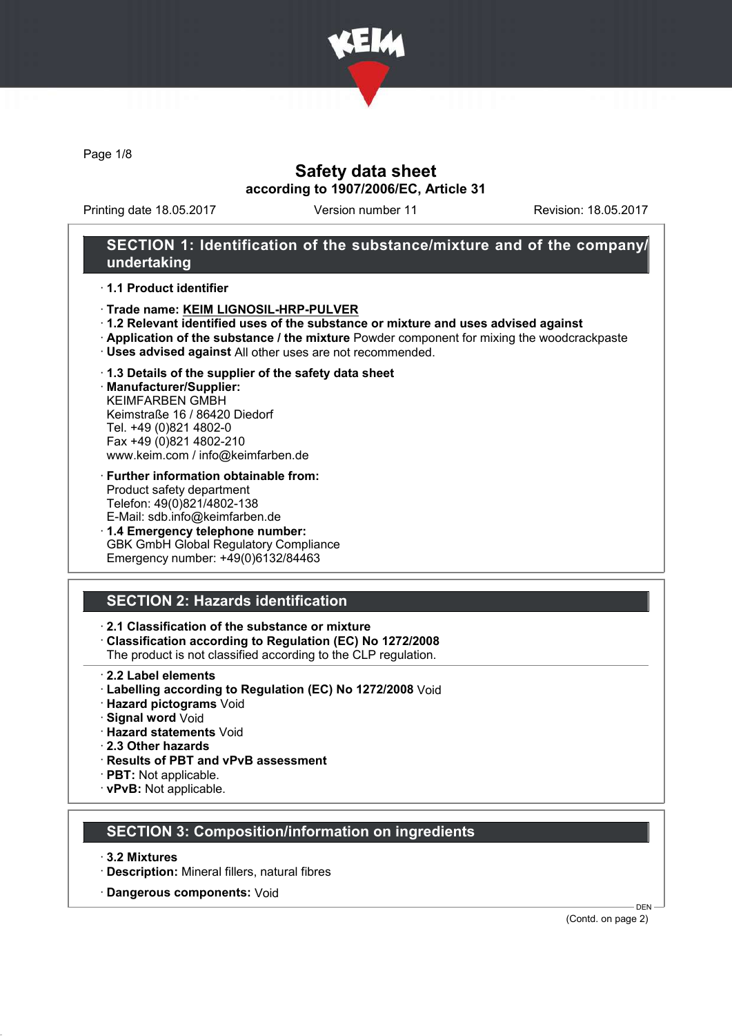

Page 1/8

# Safety data sheet according to 1907/2006/EC, Article 31

Printing date 18.05.2017 Version number 11 Revision: 18.05.2017

## SECTION 1: Identification of the substance/mixture and of the company/ undertaking

### · 1.1 Product identifier

- · Trade name: KEIM LIGNOSIL-HRP-PULVER
- · 1.2 Relevant identified uses of the substance or mixture and uses advised against
- · Application of the substance / the mixture Powder component for mixing the woodcrackpaste
- · Uses advised against All other uses are not recommended.

### · 1.3 Details of the supplier of the safety data sheet

· Manufacturer/Supplier: KEIMFARBEN GMBH Keimstraße 16 / 86420 Diedorf Tel. +49 (0)821 4802-0 Fax +49 (0)821 4802-210 www.keim.com / info@keimfarben.de

#### · Further information obtainable from: Product safety department Telefon: 49(0)821/4802-138 E-Mail: sdb.info@keimfarben.de

· 1.4 Emergency telephone number: GBK GmbH Global Regulatory Compliance Emergency number: +49(0)6132/84463

# SECTION 2: Hazards identification

## · 2.1 Classification of the substance or mixture

· Classification according to Regulation (EC) No 1272/2008

The product is not classified according to the CLP regulation.

- 2.2 Label elements
- · Labelling according to Regulation (EC) No 1272/2008 Void
- · Hazard pictograms Void
- · Signal word Void
- · Hazard statements Void
- · 2.3 Other hazards
- · Results of PBT and vPvB assessment
- · PBT: Not applicable.
- · vPvB: Not applicable.

## SECTION 3: Composition/information on ingredients

- · 3.2 Mixtures
- · Description: Mineral fillers, natural fibres
- · Dangerous components: Void

(Contd. on page 2)

DEN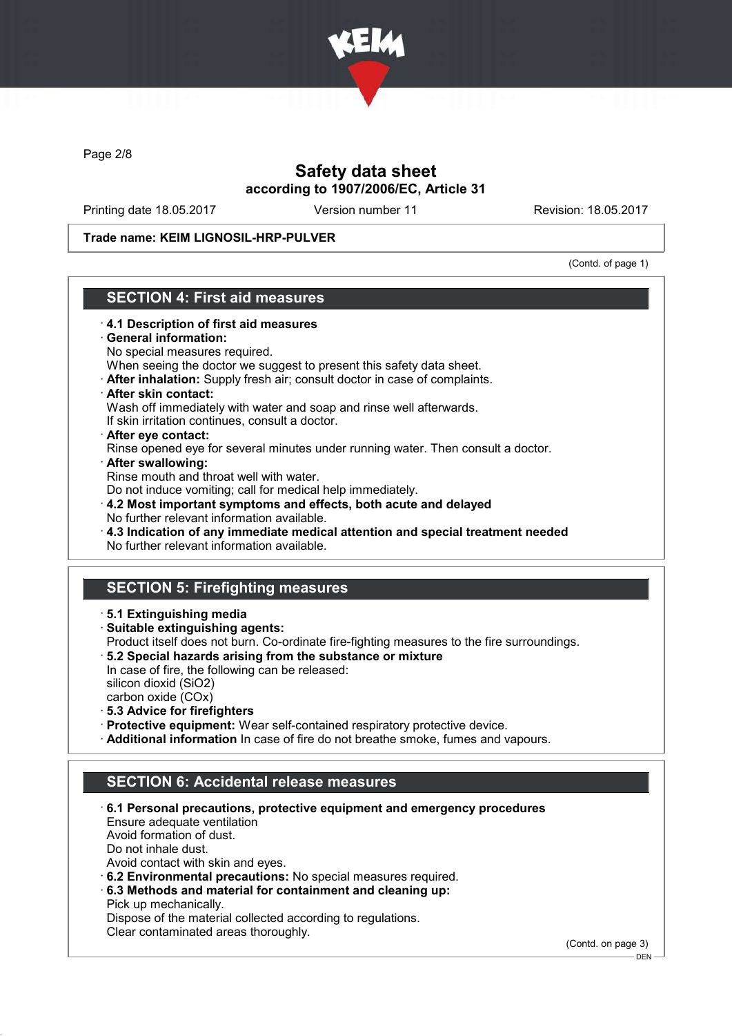

Page 2/8

# Safety data sheet according to 1907/2006/EC, Article 31

Printing date 18.05.2017 Version number 11 Revision: 18.05.2017

Trade name: KEIM LIGNOSIL-HRP-PULVER

(Contd. of page 1)

# SECTION 4: First aid measures

- · 4.1 Description of first aid measures General information: No special measures required. When seeing the doctor we suggest to present this safety data sheet. · After inhalation: Supply fresh air; consult doctor in case of complaints. · After skin contact: Wash off immediately with water and soap and rinse well afterwards. If skin irritation continues, consult a doctor. · After eye contact: Rinse opened eye for several minutes under running water. Then consult a doctor. · After swallowing: Rinse mouth and throat well with water. Do not induce vomiting; call for medical help immediately. · 4.2 Most important symptoms and effects, both acute and delayed No further relevant information available. · 4.3 Indication of any immediate medical attention and special treatment needed No further relevant information available. SECTION 5: Firefighting measures · 5.1 Extinguishing media · Suitable extinguishing agents: Product itself does not burn. Co-ordinate fire-fighting measures to the fire surroundings. · 5.2 Special hazards arising from the substance or mixture In case of fire, the following can be released: silicon dioxid (SiO2) carbon oxide (COx) · 5.3 Advice for firefighters · Protective equipment: Wear self-contained respiratory protective device. · Additional information In case of fire do not breathe smoke, fumes and vapours. SECTION 6: Accidental release measures · 6.1 Personal precautions, protective equipment and emergency procedures Ensure adequate ventilation Avoid formation of dust. Do not inhale dust. Avoid contact with skin and eyes. · 6.2 Environmental precautions: No special measures required. · 6.3 Methods and material for containment and cleaning up:
	- Pick up mechanically.

Dispose of the material collected according to regulations.

Clear contaminated areas thoroughly.

(Contd. on page 3)

DEN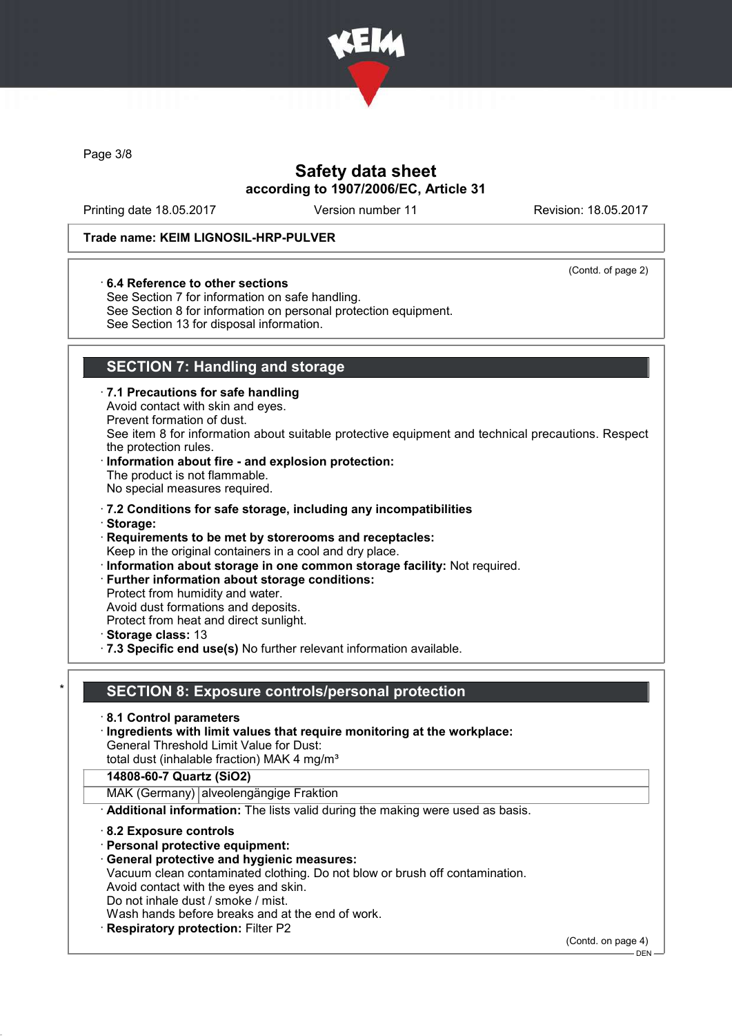

Page 3/8

# Safety data sheet according to 1907/2006/EC, Article 31

Printing date 18.05.2017 Version number 11 Revision: 18.05.2017

(Contd. of page 2)

### Trade name: KEIM LIGNOSIL-HRP-PULVER

#### · 6.4 Reference to other sections

See Section 7 for information on safe handling.

See Section 8 for information on personal protection equipment.

See Section 13 for disposal information.

# SECTION 7: Handling and storage

### · 7.1 Precautions for safe handling

Avoid contact with skin and eyes.

Prevent formation of dust.

See item 8 for information about suitable protective equipment and technical precautions. Respect the protection rules.

## Information about fire - and explosion protection: The product is not flammable.

No special measures required.

- · 7.2 Conditions for safe storage, including any incompatibilities
- · Storage:

Requirements to be met by storerooms and receptacles: Keep in the original containers in a cool and dry place.

- · Information about storage in one common storage facility: Not required.
- · Further information about storage conditions:
- Protect from humidity and water. Avoid dust formations and deposits.

Protect from heat and direct sunlight.

- · Storage class: 13
- · 7.3 Specific end use(s) No further relevant information available.

## SECTION 8: Exposure controls/personal protection

- · 8.1 Control parameters
- · Ingredients with limit values that require monitoring at the workplace: General Threshold Limit Value for Dust:

total dust (inhalable fraction) MAK 4 mg/m<sup>3</sup>

#### 14808-60-7 Quartz (SiO2)

MAK (Germany) alveolengängige Fraktion

· Additional information: The lists valid during the making were used as basis.

- · 8.2 Exposure controls
- · Personal protective equipment:
- · General protective and hygienic measures:

Vacuum clean contaminated clothing. Do not blow or brush off contamination. Avoid contact with the eyes and skin.

Do not inhale dust / smoke / mist.

Wash hands before breaks and at the end of work.

**Respiratory protection: Filter P2** 

(Contd. on page 4)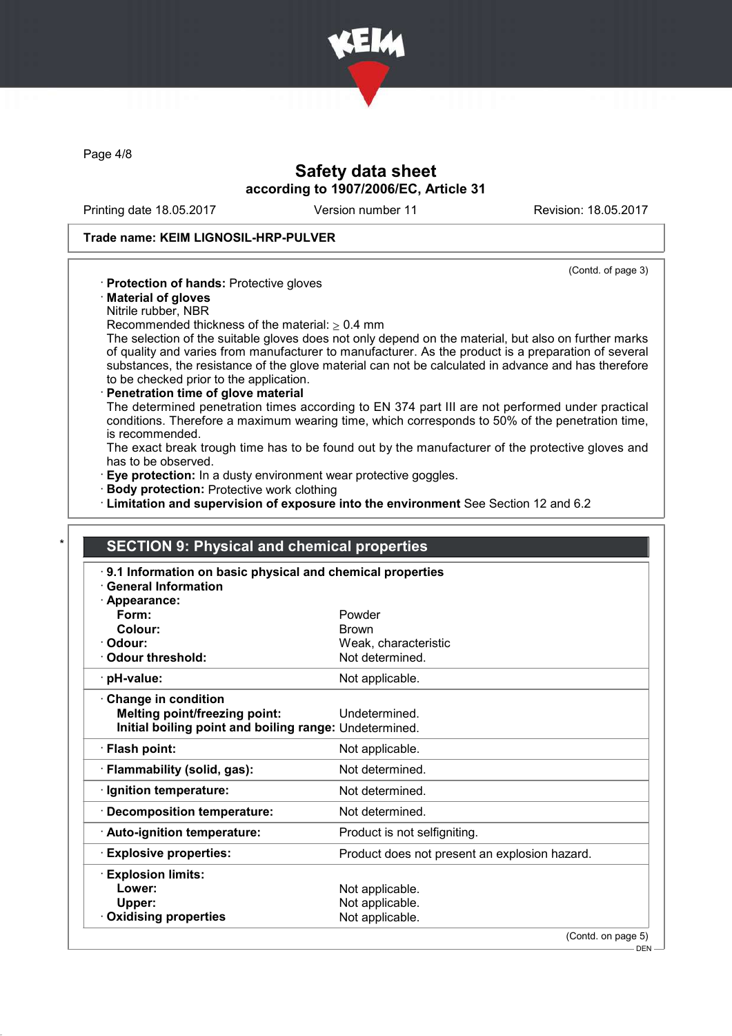

Page 4/8

# Safety data sheet according to 1907/2006/EC, Article 31

Printing date 18.05.2017 Version number 11 Revision: 18.05.2017

(Contd. of page 3)

### Trade name: KEIM LIGNOSIL-HRP-PULVER

| · Protection of hands: Protective gloves |  |  |  |  |
|------------------------------------------|--|--|--|--|
|------------------------------------------|--|--|--|--|

- · Material of gloves
- Nitrile rubber, NBR

Recommended thickness of the material:  $\geq 0.4$  mm

The selection of the suitable gloves does not only depend on the material, but also on further marks of quality and varies from manufacturer to manufacturer. As the product is a preparation of several substances, the resistance of the glove material can not be calculated in advance and has therefore to be checked prior to the application.

## Penetration time of glove material

The determined penetration times according to EN 374 part III are not performed under practical conditions. Therefore a maximum wearing time, which corresponds to 50% of the penetration time, is recommended.

The exact break trough time has to be found out by the manufacturer of the protective gloves and has to be observed.

· Eye protection: In a dusty environment wear protective goggles.

· Body protection: Protective work clothing

· Limitation and supervision of exposure into the environment See Section 12 and 6.2

| 9.1 Information on basic physical and chemical properties                                      |                                               |
|------------------------------------------------------------------------------------------------|-----------------------------------------------|
| <b>General Information</b>                                                                     |                                               |
| · Appearance:<br>Form:                                                                         | Powder                                        |
| Colour:                                                                                        | <b>Brown</b>                                  |
| · Odour:                                                                                       | Weak, characteristic                          |
| Odour threshold:                                                                               | Not determined.                               |
| $\cdot$ pH-value:                                                                              | Not applicable.                               |
| Change in condition                                                                            |                                               |
| <b>Melting point/freezing point:</b><br>Initial boiling point and boiling range: Undetermined. | Undetermined.                                 |
| · Flash point:                                                                                 | Not applicable.                               |
| · Flammability (solid, gas):                                                                   | Not determined.                               |
| · Ignition temperature:                                                                        | Not determined.                               |
| · Decomposition temperature:                                                                   | Not determined.                               |
| · Auto-ignition temperature:                                                                   | Product is not selfigniting.                  |
| <b>Explosive properties:</b>                                                                   | Product does not present an explosion hazard. |
| $\cdot$ Explosion limits:                                                                      |                                               |
| Lower:                                                                                         | Not applicable.                               |
| Upper:                                                                                         | Not applicable.                               |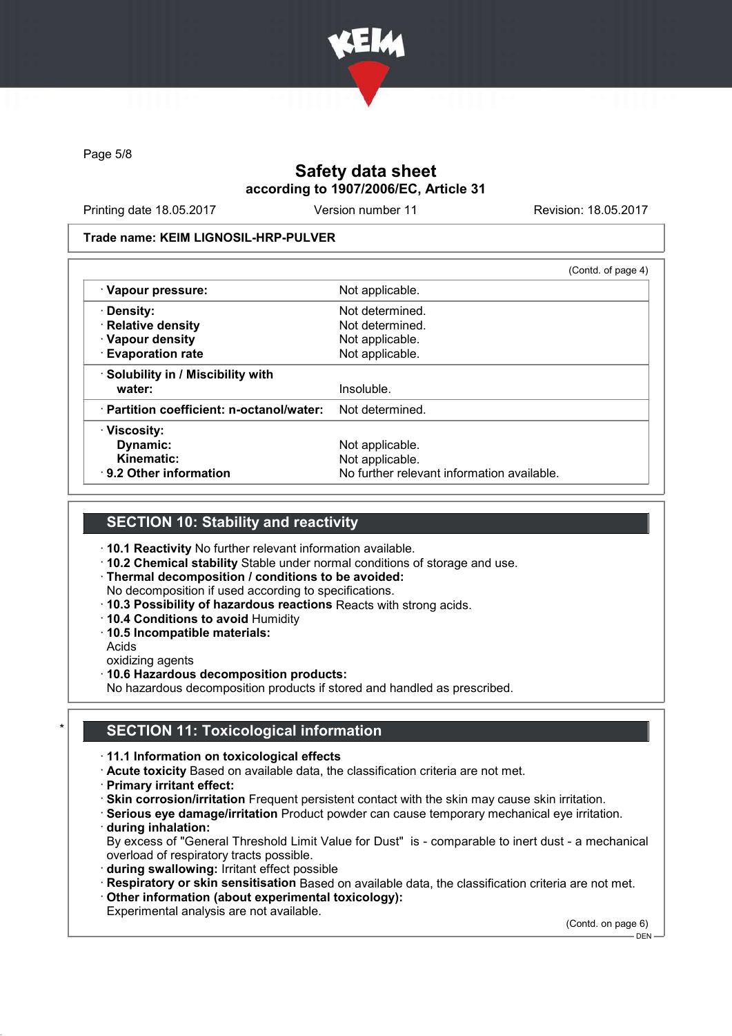

Page 5/8

# Safety data sheet according to 1907/2006/EC, Article 31

Printing date 18.05.2017 Version number 11 Revision: 18.05.2017

#### Trade name: KEIM LIGNOSIL-HRP-PULVER

|                                           | (Contd. of page 4)                         |
|-------------------------------------------|--------------------------------------------|
| · Vapour pressure:                        | Not applicable.                            |
| · Density:                                | Not determined.                            |
| · Relative density                        | Not determined.                            |
| · Vapour density                          | Not applicable.                            |
| <b>Evaporation rate</b>                   | Not applicable.                            |
| · Solubility in / Miscibility with        |                                            |
| water:                                    | Insoluble.                                 |
| · Partition coefficient: n-octanol/water: | Not determined.                            |
| · Viscosity:                              |                                            |
| Dynamic:                                  | Not applicable.                            |
| Kinematic:                                | Not applicable.                            |
| $\cdot$ 9.2 Other information             | No further relevant information available. |

## SECTION 10: Stability and reactivity

- · 10.1 Reactivity No further relevant information available.
- · 10.2 Chemical stability Stable under normal conditions of storage and use.
- · Thermal decomposition / conditions to be avoided: No decomposition if used according to specifications.
- · 10.3 Possibility of hazardous reactions Reacts with strong acids.
- · 10.4 Conditions to avoid Humidity
- · 10.5 Incompatible materials:

Acids

oxidizing agents

· 10.6 Hazardous decomposition products:

No hazardous decomposition products if stored and handled as prescribed.

# **SECTION 11: Toxicological information**

- · 11.1 Information on toxicological effects
- · Acute toxicity Based on available data, the classification criteria are not met.
- · Primary irritant effect:
- · Skin corrosion/irritation Frequent persistent contact with the skin may cause skin irritation.
- · Serious eye damage/irritation Product powder can cause temporary mechanical eye irritation. · during inhalation:

By excess of "General Threshold Limit Value for Dust" is - comparable to inert dust - a mechanical overload of respiratory tracts possible.

- · during swallowing: Irritant effect possible
- · Respiratory or skin sensitisation Based on available data, the classification criteria are not met.
- Other information (about experimental toxicology):

Experimental analysis are not available.

(Contd. on page 6)

DEN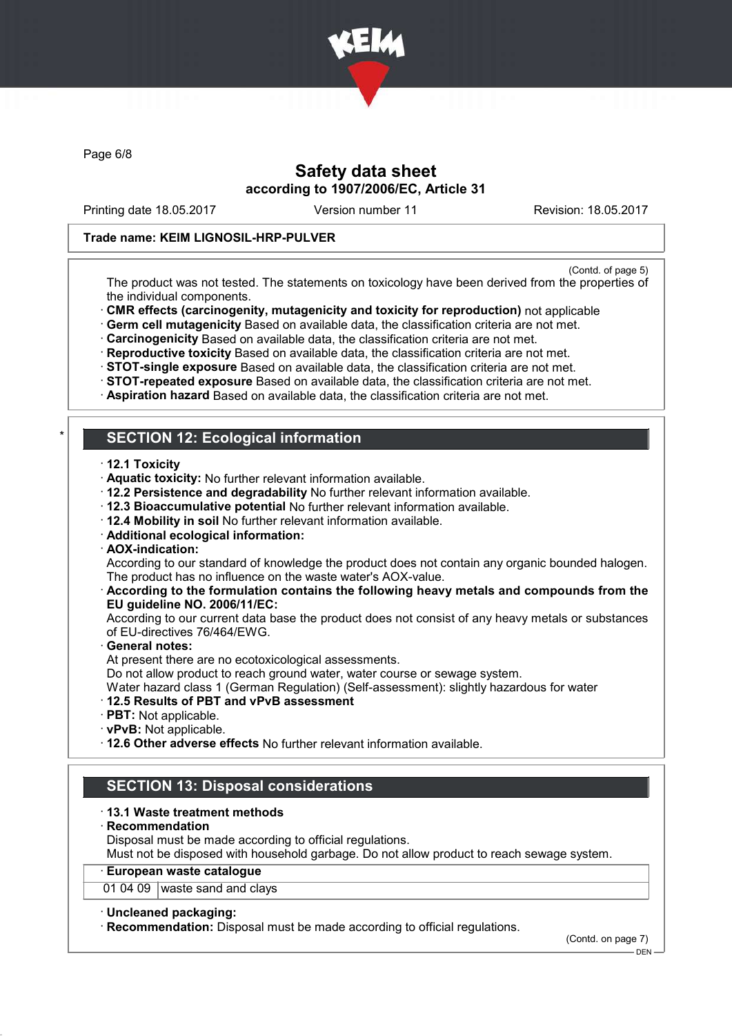

Page 6/8

# Safety data sheet according to 1907/2006/EC, Article 31

Printing date 18.05.2017 Version number 11 Revision: 18.05.2017

### Trade name: KEIM LIGNOSIL-HRP-PULVER

(Contd. of page 5)

The product was not tested. The statements on toxicology have been derived from the properties of the individual components.

- · CMR effects (carcinogenity, mutagenicity and toxicity for reproduction) not applicable
- · Germ cell mutagenicity Based on available data, the classification criteria are not met.
- · Carcinogenicity Based on available data, the classification criteria are not met.
- · Reproductive toxicity Based on available data, the classification criteria are not met.
- · STOT-single exposure Based on available data, the classification criteria are not met.
- · STOT-repeated exposure Based on available data, the classification criteria are not met.
- · Aspiration hazard Based on available data, the classification criteria are not met.

## **SECTION 12: Ecological information**

- · 12.1 Toxicity
- · Aquatic toxicity: No further relevant information available.
- · 12.2 Persistence and degradability No further relevant information available.
- · 12.3 Bioaccumulative potential No further relevant information available.
- · 12.4 Mobility in soil No further relevant information available.
- · Additional ecological information:
- · AOX-indication:

According to our standard of knowledge the product does not contain any organic bounded halogen. The product has no influence on the waste water's AOX-value.

#### · According to the formulation contains the following heavy metals and compounds from the EU guideline NO. 2006/11/EC:

According to our current data base the product does not consist of any heavy metals or substances of EU-directives 76/464/EWG.

General notes:

At present there are no ecotoxicological assessments.

Do not allow product to reach ground water, water course or sewage system.

Water hazard class 1 (German Regulation) (Self-assessment): slightly hazardous for water

#### · 12.5 Results of PBT and vPvB assessment

- · PBT: Not applicable.
- · vPvB: Not applicable.
- · 12.6 Other adverse effects No further relevant information available.

## SECTION 13: Disposal considerations

#### · 13.1 Waste treatment methods

**Recommendation** 

Disposal must be made according to official regulations.

Must not be disposed with household garbage. Do not allow product to reach sewage system.

### · European waste catalogue

01 04 09 waste sand and clays

#### · Uncleaned packaging:

· Recommendation: Disposal must be made according to official regulations.

(Contd. on page 7)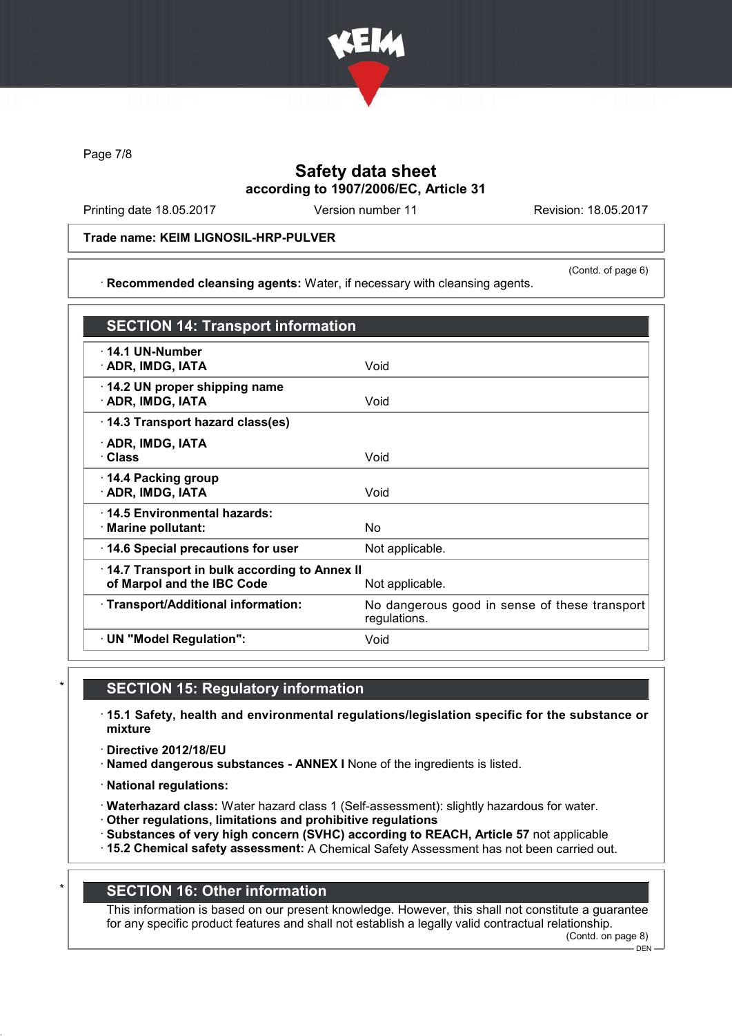

Page 7/8

# Safety data sheet according to 1907/2006/EC, Article 31

Printing date 18.05.2017 Version number 11 Revision: 18.05.2017

(Contd. of page 6)

Trade name: KEIM LIGNOSIL-HRP-PULVER

· Recommended cleansing agents: Water, if necessary with cleansing agents.

SECTION 14: Transport information · 14.1 UN-Number · ADR, IMDG, IATA Void · 14.2 UN proper shipping name **ADR, IMDG, IATA** Void · 14.3 Transport hazard class(es) · ADR, IMDG, IATA · Class Void · 14.4 Packing group · ADR, IMDG, IATA Void · 14.5 Environmental hazards: · Marine pollutant: No · 14.6 Special precautions for user Not applicable. · 14.7 Transport in bulk according to Annex II of Marpol and the IBC Code Not applicable. · Transport/Additional information: No dangerous good in sense of these transport regulations. · UN "Model Regulation": Void

## **SECTION 15: Regulatory information**

- · 15.1 Safety, health and environmental regulations/legislation specific for the substance or mixture
- · Directive 2012/18/EU
- · Named dangerous substances ANNEX I None of the ingredients is listed.
- · National regulations:
- · Waterhazard class: Water hazard class 1 (Self-assessment): slightly hazardous for water.
- · Other regulations, limitations and prohibitive regulations
- · Substances of very high concern (SVHC) according to REACH, Article 57 not applicable
- · 15.2 Chemical safety assessment: A Chemical Safety Assessment has not been carried out.

## **SECTION 16: Other information**

This information is based on our present knowledge. However, this shall not constitute a guarantee for any specific product features and shall not establish a legally valid contractual relationship.